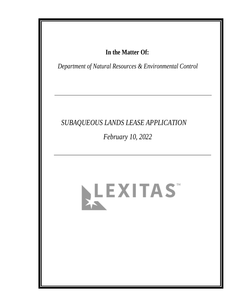## In the Matter Of:

Department of Natural Resources & Environmental Control

# SUBAQUEOUS LANDS LEASE APPLICATION

February 10, 2022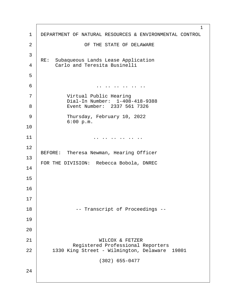| 1              | 1<br>DEPARTMENT OF NATURAL RESOURCES & ENVIRONMENTAL CONTROL                  |
|----------------|-------------------------------------------------------------------------------|
| $\overline{2}$ | OF THE STATE OF DELAWARE                                                      |
| 3              |                                                                               |
| $\overline{4}$ | RE: Subaqueous Lands Lease Application<br><b>Carlo and Teresita Businelli</b> |
| 5              |                                                                               |
| 6              | $\cdots \cdots \cdots$                                                        |
| $\overline{7}$ | <b>Virtual Public Hearing</b><br>Dial-In Number: 1-408-418-9388               |
| 8              | Event Number: 2337 561 7326                                                   |
| 9              | Thursday, February 10, 2022<br>6:00 p.m.                                      |
| 10             |                                                                               |
| 11             |                                                                               |
| 12             | BEFORE: Theresa Newman, Hearing Officer                                       |
| 13             |                                                                               |
| 14             | FOR THE DIVISION: Rebecca Bobola, DNREC                                       |
| 15             |                                                                               |
| 16             |                                                                               |
| 17             |                                                                               |
| 18             | -- Transcript of Proceedings --                                               |
| 19             |                                                                               |
| 20             |                                                                               |
| 21             | <b>WILCOX &amp; FETZER</b><br><b>Registered Professional Reporters</b>        |
| 22             | 1330 King Street - Wilmington, Delaware 19801                                 |
|                | (302) 655-0477                                                                |
| 24             |                                                                               |
|                |                                                                               |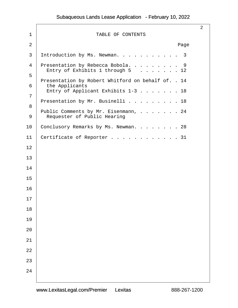| 1              | <b>TABLE OF CONTENTS</b>                                                                                                                       | $\overline{2}$ |
|----------------|------------------------------------------------------------------------------------------------------------------------------------------------|----------------|
| $\overline{2}$ | Page                                                                                                                                           |                |
| 3              | Introduction by Ms. Newman. 3                                                                                                                  |                |
| 4<br>5         | Presentation by Rebecca Bobola. 9<br>Entry of Exhibits 1 through $5 \ldots \ldots 12$                                                          |                |
| 6<br>7         | Presentation by Robert Whitford on behalf of. . 14<br>the Applicants<br>Entry of Applicant Exhibits 1-3 18<br>Presentation by Mr. Businelli 18 |                |
| 8<br>9         | Public Comments by Mr. Eisenmann,  24<br><b>Requester of Public Hearing</b>                                                                    |                |
| 10             | Conclusory Remarks by Ms. Newman. 28                                                                                                           |                |
| 11             | Certificate of Reporter 31                                                                                                                     |                |
| 12             |                                                                                                                                                |                |
| 13             |                                                                                                                                                |                |
| 14             |                                                                                                                                                |                |
| 15             |                                                                                                                                                |                |
| 16             |                                                                                                                                                |                |
| 17             |                                                                                                                                                |                |
| 18             |                                                                                                                                                |                |
| 19             |                                                                                                                                                |                |
| 20             |                                                                                                                                                |                |
| 21             |                                                                                                                                                |                |
| 22             |                                                                                                                                                |                |
| 23             |                                                                                                                                                |                |
| 24             |                                                                                                                                                |                |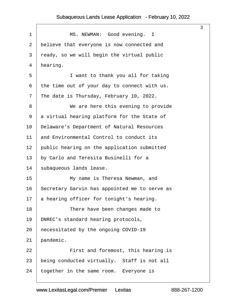<span id="page-3-0"></span>

|    |                                               | 3 |
|----|-----------------------------------------------|---|
| 1  | MS. NEWMAN: Good evening. I                   |   |
| 2  | believe that everyone is now connected and    |   |
| 3  | ready, so we will begin the virtual public    |   |
| 4  | hearing.                                      |   |
| 5  | I want to thank you all for taking            |   |
| 6  | the time out of your day to connect with us.  |   |
| 7  | The date is Thursday, February 10, 2022.      |   |
| 8  | We are here this evening to provide           |   |
| 9  | a virtual hearing platform for the State of   |   |
| 10 | Delaware's Department of Natural Resources    |   |
| 11 | and Environmental Control to conduct its      |   |
| 12 | public hearing on the application submitted   |   |
| 13 | by Carlo and Teresita Businelli for a         |   |
| 14 | subaqueous lands lease.                       |   |
| 15 | My name is Theresa Newman, and                |   |
| 16 | Secretary Garvin has appointed me to serve as |   |
| 17 | a hearing officer for tonight's hearing.      |   |
| 18 | There have been changes made to               |   |
| 19 | DNREC's standard hearing protocols,           |   |
| 20 | hecessitated by the ongoing COVID-19          |   |
| 21 | pandemic.                                     |   |
| 22 | First and foremost, this hearing is           |   |
| 23 | being conducted virtually. Staff is not all   |   |
| 24 | together in the same room. Everyone is        |   |
|    |                                               |   |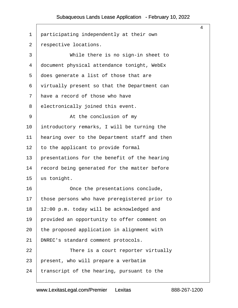<span id="page-4-0"></span>

|                 |                                               | 4 |
|-----------------|-----------------------------------------------|---|
| 1               | participating independently at their own      |   |
| $\overline{2}$  | respective locations.                         |   |
| 3               | While there is no sign-in sheet to            |   |
| 4               | document physical attendance tonight, WebEx   |   |
| 5               | does generate a list of those that are        |   |
| 6               | virtually present so that the Department can  |   |
| 7               | have a record of those who have               |   |
| 8               | electronically joined this event.             |   |
| 9               | At the conclusion of my                       |   |
| 10              | introductory remarks, I will be turning the   |   |
| 11              | hearing over to the Department staff and then |   |
| 12              | to the applicant to provide formal            |   |
| 13              | presentations for the benefit of the hearing  |   |
| 14              | ecord being generated for the matter before   |   |
| 15              | us tonight.                                   |   |
| 16              | Once the presentations conclude,              |   |
| 17 <sup>7</sup> | those persons who have preregistered prior to |   |
| 18              | 12:00 p.m. today will be acknowledged and     |   |
| 19              | provided an opportunity to offer comment on   |   |
| 20              | the proposed application in alignment with    |   |
| 21              | DNREC's standard comment protocols.           |   |
| 22              | There is a court reporter virtually           |   |
| 23              | present, who will prepare a verbatim          |   |
| 24              | transcript of the hearing, pursuant to the    |   |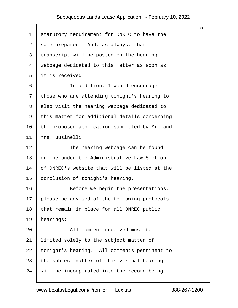<span id="page-5-0"></span>

|                                                 | 5 |
|-------------------------------------------------|---|
| statutory requirement for DNREC to have the     |   |
| same prepared. And, as always, that             |   |
| transcript will be posted on the hearing        |   |
| webpage dedicated to this matter as soon as     |   |
| it is received.                                 |   |
| In addition, I would encourage                  |   |
| those who are attending tonight's hearing to    |   |
| also visit the hearing webpage dedicated to     |   |
| this matter for additional details concerning   |   |
| the proposed application submitted by Mr. and   |   |
| Mrs. Businelli.                                 |   |
| The hearing webpage can be found                |   |
| online under the Administrative Law Section     |   |
| of DNREC's website that will be listed at the   |   |
| conclusion of tonight's hearing.                |   |
| Before we begin the presentations,              |   |
| 17 please be advised of the following protocols |   |
| that remain in place for all DNREC public       |   |
| hearings:                                       |   |
| All comment received must be                    |   |
| limited solely to the subject matter of         |   |
| tonight's hearing. All comments pertinent to    |   |
| the subject matter of this virtual hearing      |   |
| will be incorporated into the record being      |   |
|                                                 |   |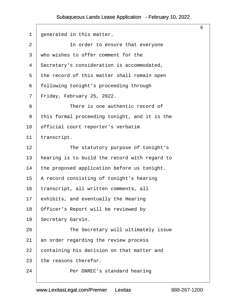<span id="page-6-0"></span>

| 1              | generated in this matter.                     |
|----------------|-----------------------------------------------|
| $\overline{2}$ | In order to ensure that everyone              |
| 3              | who wishes to offer comment for the           |
| 4              | \$ecretary's consideration is accommodated,   |
| 5              | the record of this matter shall remain open   |
| 6              | following tonight's proceeding through        |
| 7              | Friday, February 25, 2022.                    |
| 8              | There is one authentic record of              |
| 9              | this formal proceeding tonight, and it is the |
| 10             | official court reporter's verbatim            |
| 11             | transcript.                                   |
| 12             | The statutory purpose of tonight's            |
| 13             | hearing is to build the record with regard to |
| 14             | the proposed application before us tonight.   |
| 15             | A record consisting of tonight's hearing      |
| 16             | transcript, all written comments, all         |
| 17             | exhibits, and eventually the Hearing          |
| 18             | Officer's Report will be reviewed by          |
| 19             | Secretary Garvin.                             |
| 20             | The Secretary will ultimately issue           |
| 21             | an order regarding the review process         |
| 22             | containing his decision on that matter and    |
| 23             | the reasons therefor.                         |
| 24             | Per DNREC's standard hearing                  |

6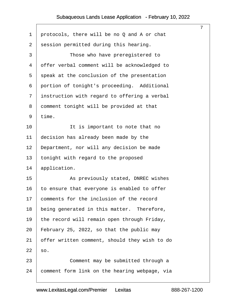<span id="page-7-0"></span>

|    | $\overline{7}$                                |
|----|-----------------------------------------------|
| 1  | protocols, there will be no Q and A or chat   |
| 2  | session permitted during this hearing.        |
| 3  | Those who have preregistered to               |
| 4  | offer verbal comment will be acknowledged to  |
| 5  | speak at the conclusion of the presentation   |
| 6  | portion of tonight's proceeding. Additional   |
| 7  | instruction with regard to offering a verbal  |
| 8  | domment tonight will be provided at that      |
| 9  | time.                                         |
| 10 | It is important to note that no               |
| 11 | decision has already been made by the         |
| 12 | Department, nor will any decision be made     |
| 13 | tonight with regard to the proposed           |
| 14 | application.                                  |
| 15 | As previously stated, DNREC wishes            |
| 16 | to ensure that everyone is enabled to offer   |
| 17 | comments for the inclusion of the record      |
| 18 | being generated in this matter. Therefore,    |
| 19 | the record will remain open through Friday,   |
| 20 | February 25, 2022, so that the public may     |
| 21 | offer written comment, should they wish to do |
| 22 | \$0.                                          |
| 23 | Comment may be submitted through a            |
| 24 | comment form link on the hearing webpage, via |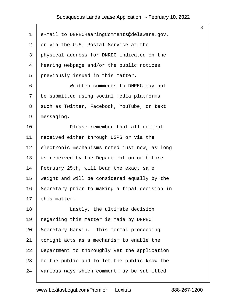<span id="page-8-0"></span>

|                 |                                               | 8 |
|-----------------|-----------------------------------------------|---|
| $\mathbf 1$     | e-mail to DNRECHearingComments@delaware.gov,  |   |
| $\overline{2}$  | or via the U.S. Postal Service at the         |   |
| 3               | physical address for DNREC indicated on the   |   |
| 4               | hearing webpage and/or the public notices     |   |
| 5               | previously issued in this matter.             |   |
| 6               | Written comments to DNREC may not             |   |
| $\overline{7}$  | be submitted using social media platforms     |   |
| 8               | such as Twitter, Facebook, YouTube, or text   |   |
| 9               | messaging.                                    |   |
| 10              | Please remember that all comment              |   |
| 11              | received either through USPS or via the       |   |
| 12 <sub>2</sub> | electronic mechanisms noted just now, as long |   |
| 13              | as received by the Department on or before    |   |
| 14              | February 25th, will bear the exact same       |   |
| 15              | weight and will be considered equally by the  |   |
| 16              | Secretary prior to making a final decision in |   |
|                 | 17 this matter.                               |   |
| 18              | Lastly, the ultimate decision                 |   |
| 19              | regarding this matter is made by DNREC        |   |
| 20              | Secretary Garvin. This formal proceeding      |   |
| 21              | tonight acts as a mechanism to enable the     |   |
| 22              | Department to thoroughly vet the application  |   |
| 23              | to the public and to let the public know the  |   |
| 24              | various ways which comment may be submitted   |   |
|                 |                                               |   |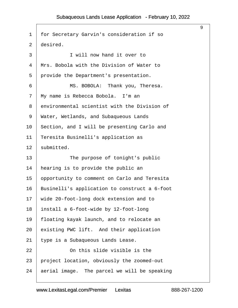<span id="page-9-0"></span>

|                |                                               | 9 |
|----------------|-----------------------------------------------|---|
| 1              | for Secretary Garvin's consideration if so    |   |
| $\overline{2}$ | desired.                                      |   |
| 3              | I will now hand it over to                    |   |
| 4              | Mrs. Bobola with the Division of Water to     |   |
| 5              | provide the Department's presentation.        |   |
| 6              | MS. BOBOLA: Thank you, Theresa.               |   |
| 7              | My name is Rebecca Bobola. I'm an             |   |
| 8              | environmental scientist with the Division of  |   |
| 9              | Water, Wetlands, and Subaqueous Lands         |   |
| 10             | Section, and I will be presenting Carlo and   |   |
| 11             | Teresita Businelli's application as           |   |
| 12             | submitted.                                    |   |
| 13             | The purpose of tonight's public               |   |
| 14             | hearing is to provide the public an           |   |
| 15             | opportunity to comment on Carlo and Teresita  |   |
| 16             | Businelli's application to construct a 6-foot |   |
| 17             | wide 20-foot-long dock extension and to       |   |
| 18             | install a 6-foot-wide by 12-foot-long         |   |
| 19             | floating kayak launch, and to relocate an     |   |
| 20             | existing PWC lift. And their application      |   |
| 21             | type is a Subaqueous Lands Lease.             |   |
| 22             | On this slide visible is the                  |   |
| 23             | project location, obviously the zoomed-out    |   |
| 24             | aerial image. The parcel we will be speaking  |   |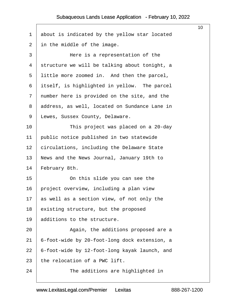<span id="page-10-0"></span>

|    |                                               | 10 |
|----|-----------------------------------------------|----|
| 1  | about is indicated by the yellow star located |    |
| 2  | in the middle of the image.                   |    |
| 3  | Here is a representation of the               |    |
| 4  | structure we will be talking about tonight, a |    |
| 5  | little more zoomed in. And then the parcel,   |    |
| 6  | itself, is highlighted in yellow. The parcel  |    |
| 7  | number here is provided on the site, and the  |    |
| 8  | address, as well, located on Sundance Lane in |    |
| 9  | Lewes, Sussex County, Delaware.               |    |
| 10 | This project was placed on a 20-day           |    |
| 11 | public notice published in two statewide      |    |
| 12 | circulations, including the Delaware State    |    |
| 13 | News and the News Journal, January 19th to    |    |
| 14 | February 8th.                                 |    |
| 15 | On this slide you can see the                 |    |
| 16 | project overview, including a plan view       |    |
| 17 | as well as a section view, of not only the    |    |
| 18 | existing structure, but the proposed          |    |
| 19 | additions to the structure.                   |    |
| 20 | Again, the additions proposed are a           |    |
| 21 | 6-foot-wide by 20-foot-long dock extension, a |    |
| 22 | 6-foot-wide by 12-foot-long kayak launch, and |    |
| 23 | the relocation of a PWC lift.                 |    |
| 24 | The additions are highlighted in              |    |
|    |                                               |    |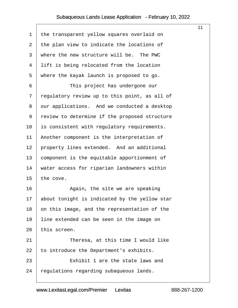<span id="page-11-0"></span>

| 1  | the transparent yellow squares overlaid on    |
|----|-----------------------------------------------|
| 2  | the plan view to indicate the locations of    |
| 3  | where the new structure will be. The PWC      |
| 4  | lift is being relocated from the location     |
| 5  | where the kayak launch is proposed to go.     |
| 6  | This project has undergone our                |
| 7  | regulatory review up to this point, as all of |
| 8  | dur applications. And we conducted a desktop  |
| 9  | review to determine if the proposed structure |
| 10 | is consistent with regulatory requirements.   |
| 11 | Another component is the interpretation of    |
| 12 | property lines extended. And an additional    |
| 13 | component is the equitable apportionment of   |
| 14 | water access for riparian landowners within   |
| 15 | the cove.                                     |
| 16 | Again, the site we are speaking               |
| 17 | about tonight is indicated by the yellow star |
| 18 | on this image, and the representation of the  |
| 19 | line extended can be seen in the image on     |
| 20 | this screen.                                  |
| 21 | Theresa, at this time I would like            |
| 22 | to introduce the Department's exhibits.       |
| 23 | Exhibit 1 are the state laws and              |
| 24 | regulations regarding subaqueous lands.       |
|    |                                               |

11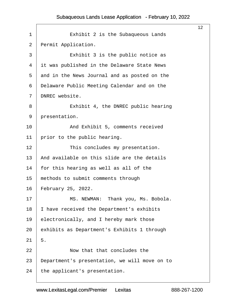<span id="page-12-0"></span>

|                |                                               | 12 |
|----------------|-----------------------------------------------|----|
| 1              | Exhibit 2 is the Subaqueous Lands             |    |
| 2              | Permit Application.                           |    |
| 3              | Exhibit 3 is the public notice as             |    |
| 4              | it was published in the Delaware State News   |    |
| 5              | and in the News Journal and as posted on the  |    |
| 6              | Delaware Public Meeting Calendar and on the   |    |
| $\overline{7}$ | DNREC website.                                |    |
| 8              | Exhibit 4, the DNREC public hearing           |    |
| 9              | presentation.                                 |    |
| 10             | And Exhibit 5, comments received              |    |
| 11             | prior to the public hearing.                  |    |
| 12             | This concludes my presentation.               |    |
| 13             | And available on this slide are the details   |    |
| 14             | for this hearing as well as all of the        |    |
| 15             | methods to submit comments through            |    |
| 16             | February 25, 2022.                            |    |
| 17             | MS. NEWMAN: Thank you, Ms. Bobola.            |    |
| 18             | have received the Department's exhibits       |    |
| 19             | electronically, and I hereby mark those       |    |
| 20             | exhibits as Department's Exhibits 1 through   |    |
| 21             | 5.                                            |    |
| 22             | Now that that concludes the                   |    |
| 23             | Department's presentation, we will move on to |    |
| 24             | the applicant's presentation.                 |    |
|                |                                               |    |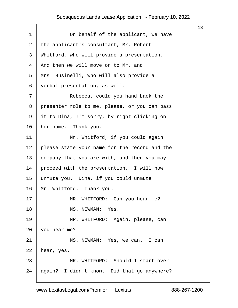<span id="page-13-0"></span>

|              |                                               | 13 |
|--------------|-----------------------------------------------|----|
| 1            | On behalf of the applicant, we have           |    |
| $\mathbf{2}$ | the applicant's consultant, Mr. Robert        |    |
| 3            | Whitford, who will provide a presentation.    |    |
| 4            | And then we will move on to Mr. and           |    |
| 5            | Mrs. Businelli, who will also provide a       |    |
| 6            | verbal presentation, as well.                 |    |
| 7            | Rebecca, could you hand back the              |    |
| 8            | presenter role to me, please, or you can pass |    |
| 9            | it to Dina, I'm sorry, by right clicking on   |    |
| 10           | her name. Thank you.                          |    |
| 11           | Mr. Whitford, if you could again              |    |
| 12           | please state your name for the record and the |    |
| 13           | company that you are with, and then you may   |    |
| 14           | proceed with the presentation. I will now     |    |
| 15           | unmute you. Dina, if you could unmute         |    |
| 16           | Mr. Whitford. Thank you.                      |    |
| 17           | MR. WHITFORD: Can you hear me?                |    |
| 18           | MS. NEWMAN: Yes.                              |    |
| 19           | MR. WHITFORD: Again, please, can              |    |
| 20           | you hear me?                                  |    |
| 21           | MS. NEWMAN: Yes, we can. I can                |    |
| 22           | hear, yes.                                    |    |
| 23           | MR. WHITFORD: Should I start over             |    |
| 24           | again? I didn't know. Did that go anywhere?   |    |
|              |                                               |    |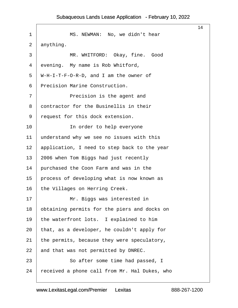<span id="page-14-0"></span>

|                |                                              | 14 |
|----------------|----------------------------------------------|----|
| 1              | MS. NEWMAN: No, we didn't hear               |    |
| $\overline{2}$ | anything.                                    |    |
| 3              | MR. WHITFORD: Okay, fine. Good               |    |
| 4              | evening. My name is Rob Whitford,            |    |
| 5              | W-H-I-T-F-O-R-D, and I am the owner of       |    |
| 6              | Precision Marine Construction.               |    |
| 7              | Precision is the agent and                   |    |
| 8              | dontractor for the Businellis in their       |    |
| 9              | request for this dock extension.             |    |
| 10             | In order to help everyone                    |    |
| 11             | understand why we see no issues with this    |    |
| 12             | application, I need to step back to the year |    |
| 13             | 2006 when Tom Biggs had just recently        |    |
| 14             | purchased the Coon Farm and was in the       |    |
| 15             | process of developing what is now known as   |    |
| 16             | the Villages on Herring Creek.               |    |
| 17             | Mr. Biggs was interested in                  |    |
| 18             | obtaining permits for the piers and docks on |    |
| 19             | the waterfront lots. I explained to him      |    |
| 20             | that, as a developer, he couldn't apply for  |    |
| 21             | the permits, because they were speculatory,  |    |
| 22             | and that was not permitted by DNREC.         |    |
| 23             | So after some time had passed, I             |    |
| 24             | eceived a phone call from Mr. Hal Dukes, who |    |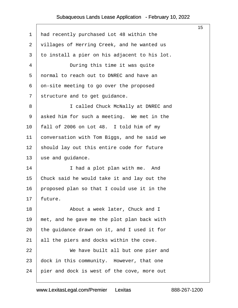<span id="page-15-0"></span>

|                |                                               | 15 |
|----------------|-----------------------------------------------|----|
| $\mathbf 1$    | had recently purchased Lot 48 within the      |    |
| $\overline{2}$ | villages of Herring Creek, and he wanted us   |    |
| 3              | to install a pier on his adjacent to his lot. |    |
| 4              | During this time it was quite                 |    |
| 5              | normal to reach out to DNREC and have an      |    |
| 6              | on-site meeting to go over the proposed       |    |
| $\overline{7}$ | structure and to get guidance.                |    |
| 8              | I called Chuck McNally at DNREC and           |    |
| 9              | asked him for such a meeting. We met in the   |    |
| 10             | fall of 2006 on Lot 48. I told him of my      |    |
| 11             | conversation with Tom Biggs, and he said we   |    |
| 12             | should lay out this entire code for future    |    |
| 13             | use and guidance.                             |    |
| 14             | I had a plot plan with me. And                |    |
| 15             | Chuck said he would take it and lay out the   |    |
| 16             | proposed plan so that I could use it in the   |    |
|                | 17 future.                                    |    |
| 18             | About a week later, Chuck and I               |    |
| 19             | met, and he gave me the plot plan back with   |    |
| 20             | the guidance drawn on it, and I used it for   |    |
| 21             | all the piers and docks within the cove.      |    |
| 22             | We have built all but one pier and            |    |
| 23             | dock in this community. However, that one     |    |
| 24             | pier and dock is west of the cove, more out   |    |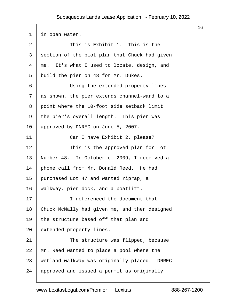$\sqrt{2}$ 

<span id="page-16-0"></span>

| 1              | in open water.                                |
|----------------|-----------------------------------------------|
| 2              | This is Exhibit 1. This is the                |
| 3              | section of the plot plan that Chuck had given |
| 4              | me. It's what I used to locate, design, and   |
| 5              | build the pier on 48 for Mr. Dukes.           |
| 6              | Using the extended property lines             |
| $\overline{7}$ | as shown, the pier extends channel-ward to a  |
| 8              | point where the 10-foot side setback limit    |
| 9              | the pier's overall length. This pier was      |
| 10             | approved by DNREC on June 5, 2007.            |
| 11             | Can I have Exhibit 2, please?                 |
| 12             | This is the approved plan for Lot             |
| 13             | Number 48. In October of 2009, I received a   |
| 14             | phone call from Mr. Donald Reed. He had       |
| 15             | purchased Lot 47 and wanted riprap, a         |
| 16             | walkway, pier dock, and a boatlift.           |
| 17             | I referenced the document that                |
| 18             | Chuck McNally had given me, and then designed |
| 19             | the structure based off that plan and         |
| 20             | extended property lines.                      |
| 21             | The structure was flipped, because            |
| 22             | Mr. Reed wanted to place a pool where the     |
| 23             | wetland walkway was originally placed. DNREC  |
| 24             | approved and issued a permit as originally    |

16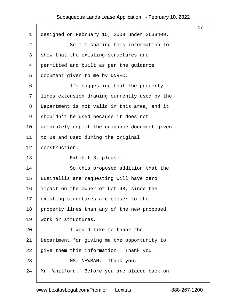<span id="page-17-0"></span>

|                |                                               | 17 |
|----------------|-----------------------------------------------|----|
| 1              | designed on February 15, 2009 under SL38409.  |    |
| 2              | So I'm sharing this information to            |    |
| 3              | show that the existing structures are         |    |
| 4              | permitted and built as per the guidance       |    |
| 5              | document given to me by DNREC.                |    |
| 6              | I'm suggesting that the property              |    |
| $\overline{7}$ | lines extension drawing currently used by the |    |
| 8              | Department is not valid in this area, and it  |    |
| 9              | shouldn't be used because it does not         |    |
| 10             | accurately depict the guidance document given |    |
| 11             | to us and used during the original            |    |
| 12             | construction.                                 |    |
| 13             | Exhibit 3, please.                            |    |
| 14             | So this proposed addition that the            |    |
| 15             | Businellis are requesting will have zero      |    |
| 16             | Impact on the owner of Lot 48, since the      |    |
|                | 17 existing structures are closer to the      |    |
| 18             | property lines than any of the new proposed   |    |
| 19             | work or structures.                           |    |
| 20             | I would like to thank the                     |    |
| 21             | Department for giving me the opportunity to   |    |
| 22             | give them this information. Thank you.        |    |
| 23             | MS. NEWMAN: Thank you,                        |    |
| 24             | Mr. Whitford. Before you are placed back on   |    |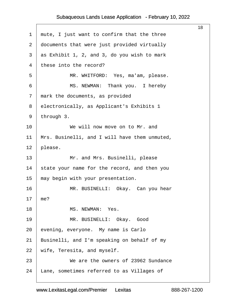<span id="page-18-0"></span>

|                |                                               | 18 |
|----------------|-----------------------------------------------|----|
| $\mathbf 1$    | mute, I just want to confirm that the three   |    |
| $\mathbf{2}$   | documents that were just provided virtually   |    |
| 3              | as Exhibit 1, 2, and 3, do you wish to mark   |    |
| 4              | these into the record?                        |    |
| 5              | MR. WHITFORD: Yes, ma'am, please.             |    |
| 6              | MS. NEWMAN: Thank you. I hereby               |    |
| $\overline{7}$ | mark the documents, as provided               |    |
| 8              | electronically, as Applicant's Exhibits 1     |    |
| 9              | through 3.                                    |    |
| 10             | We will now move on to Mr. and                |    |
| 11             | Mrs. Businelli, and I will have them unmuted, |    |
| 12             | please.                                       |    |
| 13             | Mr. and Mrs. Businelli, please                |    |
| 14             | state your name for the record, and then you  |    |
| 15             | may begin with your presentation.             |    |
| 16             | MR. BUSINELLI: Okay. Can you hear             |    |
|                | 17 me?                                        |    |
| 18             | MS. NEWMAN: Yes.                              |    |
| 19             | MR. BUSINELLI: Okay. Good                     |    |
| 20             | evening, everyone. My name is Carlo           |    |
| 21             | Businelli, and I'm speaking on behalf of my   |    |
| 22             | wife, Teresita, and myself.                   |    |
| 23             | We are the owners of 23962 Sundance           |    |
| 24             | ane, sometimes referred to as Villages of     |    |
|                |                                               |    |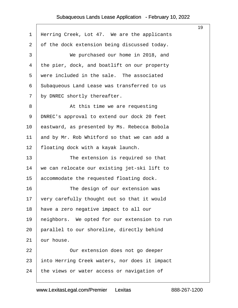<span id="page-19-0"></span>

|                                               | 19 |
|-----------------------------------------------|----|
| Herring Creek, Lot 47. We are the applicants  |    |
| of the dock extension being discussed today.  |    |
| We purchased our home in 2018, and            |    |
| the pier, dock, and boatlift on our property  |    |
| were included in the sale. The associated     |    |
| Subaqueous Land Lease was transferred to us   |    |
| by DNREC shortly thereafter.                  |    |
| At this time we are requesting                |    |
| DNREC's approval to extend our dock 20 feet   |    |
| eastward, as presented by Ms. Rebecca Bobola  |    |
| and by Mr. Rob Whitford so that we can add a  |    |
| floating dock with a kayak launch.            |    |
| The extension is required so that             |    |
| we can relocate our existing jet-ski lift to  |    |
| accommodate the requested floating dock.      |    |
| The design of our extension was               |    |
| very carefully thought out so that it would   |    |
| have a zero negative impact to all our        |    |
| heighbors. We opted for our extension to run  |    |
| parallel to our shoreline, directly behind    |    |
| bur house.                                    |    |
| Our extension does not go deeper              |    |
| into Herring Creek waters, nor does it impact |    |
| the views or water access or navigation of    |    |
|                                               |    |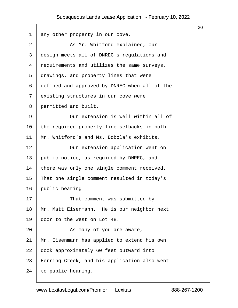<span id="page-20-0"></span>

|                |                                               | 20 |
|----------------|-----------------------------------------------|----|
| 1              | any other property in our cove.               |    |
| 2              | As Mr. Whitford explained, our                |    |
| 3              | design meets all of DNREC's regulations and   |    |
| 4              | requirements and utilizes the same surveys,   |    |
| 5              | drawings, and property lines that were        |    |
| 6              | defined and approved by DNREC when all of the |    |
| $\overline{7}$ | existing structures in our cove were          |    |
| 8              | permitted and built.                          |    |
| 9              | Our extension is well within all of           |    |
| 10             | the required property line setbacks in both   |    |
| 11             | Mr. Whitford's and Ms. Bobola's exhibits.     |    |
| 12             | Our extension application went on             |    |
| 13             | public notice, as required by DNREC, and      |    |
| 14             | there was only one single comment received.   |    |
| 15             | That one single comment resulted in today's   |    |
| 16             | public hearing.                               |    |
| 17             | That comment was submitted by                 |    |
| 18             | Mr. Matt Eisenmann. He is our neighbor next   |    |
| 19             | door to the west on Lot 48.                   |    |
| 20             | As many of you are aware,                     |    |
| 21             | Mr. Eisenmann has applied to extend his own   |    |
| 22             | dock approximately 60 feet outward into       |    |
| 23             | Herring Creek, and his application also went  |    |
| 24             | to public hearing.                            |    |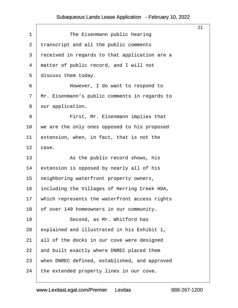<span id="page-21-0"></span>

|    |                                               | 21 |
|----|-----------------------------------------------|----|
| 1  | The Eisenmann public hearing                  |    |
| 2  | transcript and all the public comments        |    |
| 3  | received in regards to that application are a |    |
| 4  | matter of public record, and I will not       |    |
| 5  | discuss them today.                           |    |
| 6  | However, I do want to respond to              |    |
| 7  | Mr. Eisenmann's public comments in regards to |    |
| 8  | dur application.                              |    |
| 9  | First, Mr. Eisenmann implies that             |    |
| 10 | we are the only ones opposed to his proposed  |    |
| 11 | extension, when, in fact, that is not the     |    |
| 12 | case.                                         |    |
| 13 | As the public record shows, his               |    |
| 14 | extension is opposed by nearly all of his     |    |
| 15 | heighboring waterfront property owners,       |    |
| 16 | including the Villages of Herring Creek HOA,  |    |
| 17 | which represents the waterfront access rights |    |
| 18 | of over 140 homeowners in our community.      |    |
| 19 | Second, as Mr. Whitford has                   |    |
| 20 | explained and illustrated in his Exhibit 1,   |    |
| 21 | all of the docks in our cove were designed    |    |
| 22 | and built exactly where DNREC placed them     |    |
| 23 | when DNREC defined, established, and approved |    |
| 24 | the extended property lines in our cove.      |    |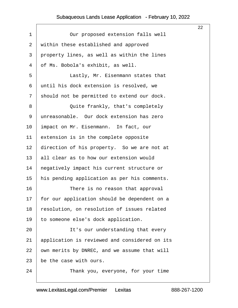<span id="page-22-0"></span>

|                |                                                 | 22 |
|----------------|-------------------------------------------------|----|
| 1              | Our proposed extension falls well               |    |
| $\overline{2}$ | within these established and approved           |    |
| 3              | property lines, as well as within the lines     |    |
| 4              | of Ms. Bobola's exhibit, as well.               |    |
| 5              | Lastly, Mr. Eisenmann states that               |    |
| 6              | until his dock extension is resolved, we        |    |
| 7              | should not be permitted to extend our dock.     |    |
| 8              | Quite frankly, that's completely                |    |
| 9              | unreasonable. Our dock extension has zero       |    |
| 10             | impact on Mr. Eisenmann. In fact, our           |    |
| 11             | extension is in the complete opposite           |    |
| 12             | direction of his property. So we are not at     |    |
| 13             | all clear as to how our extension would         |    |
| 14             | hegatively impact his current structure or      |    |
| 15             | his pending application as per his comments.    |    |
| 16             | There is no reason that approval                |    |
|                | 17 for our application should be dependent on a |    |
| 18             | resolution, on resolution of issues related     |    |
| 19             | to someone else's dock application.             |    |
| 20             | It's our understanding that every               |    |
| 21             | application is reviewed and considered on its   |    |
| 22             | own merits by DNREC, and we assume that will    |    |
| 23             | be the case with ours.                          |    |
| 24             | Thank you, everyone, for your time              |    |
|                |                                                 |    |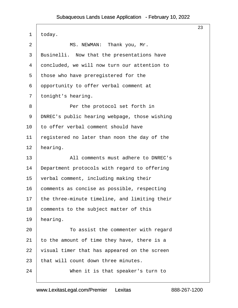<span id="page-23-0"></span>

|                |                                               | 23 |
|----------------|-----------------------------------------------|----|
| 1              | today.                                        |    |
| $\overline{2}$ | MS. NEWMAN: Thank you, Mr.                    |    |
| 3              | Businelli. Now that the presentations have    |    |
| 4              | doncluded, we will now turn our attention to  |    |
| 5              | those who have preregistered for the          |    |
| 6              | opportunity to offer verbal comment at        |    |
| 7              | tonight's hearing.                            |    |
| 8              | Per the protocol set forth in                 |    |
| 9              | DNREC's public hearing webpage, those wishing |    |
| 10             | to offer verbal comment should have           |    |
| 11             | registered no later than noon the day of the  |    |
| 12             | hearing.                                      |    |
| 13             | All comments must adhere to DNREC's           |    |
| 14             | Department protocols with regard to offering  |    |
| 15             | verbal comment, including making their        |    |
| 16             | comments as concise as possible, respecting   |    |
| 17             | the three-minute timeline, and limiting their |    |
| 18             | comments to the subject matter of this        |    |
| 19             | hearing.                                      |    |
| 20             | To assist the commenter with regard           |    |
| 21             | to the amount of time they have, there is a   |    |
| 22             | visual timer that has appeared on the screen  |    |
| 23             | that will count down three minutes.           |    |
| 24             | When it is that speaker's turn to             |    |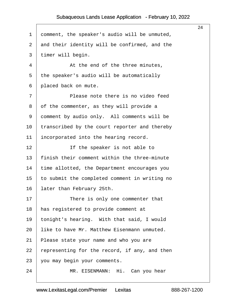|                |                                               | 24 |
|----------------|-----------------------------------------------|----|
| 1              | domment, the speaker's audio will be unmuted, |    |
| $\overline{2}$ | and their identity will be confirmed, and the |    |
| 3              | timer will begin.                             |    |
| 4              | At the end of the three minutes,              |    |
| 5              | the speaker's audio will be automatically     |    |
| 6              | placed back on mute.                          |    |
| 7              | Please note there is no video feed            |    |
| 8              | of the commenter, as they will provide a      |    |
| 9              | domment by audio only. All comments will be   |    |
| 10             | transcribed by the court reporter and thereby |    |
| 11             | incorporated into the hearing record.         |    |
| 12             | If the speaker is not able to                 |    |
| 13             | finish their comment within the three-minute  |    |
| 14             | time allotted, the Department encourages you  |    |
| 15             | to submit the completed comment in writing no |    |
| 16             | later than February 25th.                     |    |
| 17             | There is only one commenter that              |    |
| 18             | has registered to provide comment at          |    |
| 19             | tonight's hearing. With that said, I would    |    |
| 20             | like to have Mr. Matthew Eisenmann unmuted.   |    |
| 21             | Please state your name and who you are        |    |
| 22             | representing for the record, if any, and then |    |
| 23             | you may begin your comments.                  |    |
| 24             | MR. EISENMANN: Hi. Can you hear               |    |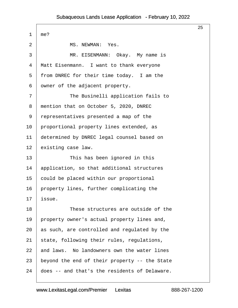$\Gamma$ 

|    |                                               | 25 |
|----|-----------------------------------------------|----|
| 1  | me?                                           |    |
| 2  | MS. NEWMAN: Yes.                              |    |
| 3  | MR. EISENMANN: Okay. My name is               |    |
| 4  | Matt Eisenmann. I want to thank everyone      |    |
| 5  | from DNREC for their time today. I am the     |    |
| 6  | dwner of the adjacent property.               |    |
| 7  | The Businelli application fails to            |    |
| 8  | mention that on October 5, 2020, DNREC        |    |
| 9  | representatives presented a map of the        |    |
| 10 | proportional property lines extended, as      |    |
| 11 | determined by DNREC legal counsel based on    |    |
| 12 | existing case law.                            |    |
| 13 | This has been ignored in this                 |    |
| 14 | application, so that additional structures    |    |
| 15 | could be placed within our proportional       |    |
| 16 | property lines, further complicating the      |    |
| 17 | issue.                                        |    |
| 18 | These structures are outside of the           |    |
| 19 | property owner's actual property lines and,   |    |
| 20 | as such, are controlled and regulated by the  |    |
| 21 | state, following their rules, regulations,    |    |
| 22 | and laws. No landowners own the water lines   |    |
| 23 | beyond the end of their property -- the State |    |
| 24 | does -- and that's the residents of Delaware. |    |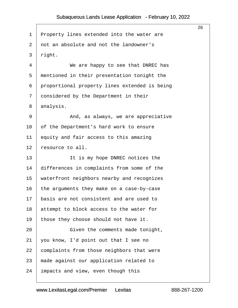|                 |                                               | 26 |
|-----------------|-----------------------------------------------|----|
| 1               | Property lines extended into the water are    |    |
| $\overline{2}$  | not an absolute and not the landowner's       |    |
| 3               | right.                                        |    |
| 4               | We are happy to see that DNREC has            |    |
| 5               | mentioned in their presentation tonight the   |    |
| 6               | proportional property lines extended is being |    |
| 7               | donsidered by the Department in their         |    |
| 8               | analysis.                                     |    |
| 9               | And, as always, we are appreciative           |    |
| 10              | of the Department's hard work to ensure       |    |
| 11              | equity and fair access to this amazing        |    |
| 12              | resource to all.                              |    |
| 13              | It is my hope DNREC notices the               |    |
| 14              | differences in complaints from some of the    |    |
| 15              | waterfront neighbors nearby and recognizes    |    |
| 16              | the arguments they make on a case-by-case     |    |
| 17 <sup>2</sup> | basis are not consistent and are used to      |    |
| 18              | attempt to block access to the water for      |    |
| 19              | those they choose should not have it.         |    |
| 20              | Given the comments made tonight,              |    |
| 21              | you know, I'd point out that I see no         |    |
| 22              | complaints from those neighbors that were     |    |
| 23              | made against our application related to       |    |
| 24              | Impacts and view, even though this            |    |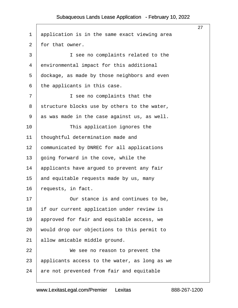|                |                                               | 27 |
|----------------|-----------------------------------------------|----|
| 1              | application is in the same exact viewing area |    |
| $\overline{2}$ | for that owner.                               |    |
| 3              | I see no complaints related to the            |    |
| 4              | environmental impact for this additional      |    |
| 5              | dockage, as made by those neighbors and even  |    |
| 6              | the applicants in this case.                  |    |
| 7              | I see no complaints that the                  |    |
| 8              | structure blocks use by others to the water,  |    |
| 9              | as was made in the case against us, as well.  |    |
| 10             | This application ignores the                  |    |
| 11             | thoughtful determination made and             |    |
| 12             | communicated by DNREC for all applications    |    |
| 13             | going forward in the cove, while the          |    |
| 14             | applicants have argued to prevent any fair    |    |
| 15             | and equitable requests made by us, many       |    |
| 16             | requests, in fact.                            |    |
| 17             | Our stance is and continues to be.            |    |
| 18             | If our current application under review is    |    |
| 19             | approved for fair and equitable access, we    |    |
| 20             | would drop our objections to this permit to   |    |
| 21             | allow amicable middle ground.                 |    |
| 22             | We see no reason to prevent the               |    |
| 23             | applicants access to the water, as long as we |    |
| 24             | are not prevented from fair and equitable     |    |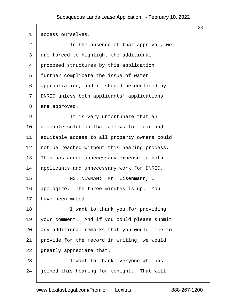$\sqrt{2}$ 

| 1              | access ourselves.                             |
|----------------|-----------------------------------------------|
| $\overline{2}$ | In the absence of that approval, we           |
| 3              | are forced to highlight the additional        |
| 4              | proposed structures by this application       |
| 5              | further complicate the issue of water         |
| 6              | appropriation, and it should be declined by   |
| 7              | DNREC unless both applicants' applications    |
| 8              | are approved.                                 |
| 9              | It is very unfortunate that an                |
| 10             | amicable solution that allows for fair and    |
| 11             | equitable access to all property owners could |
| 12             | not be reached without this hearing process.  |
| 13             | This has added unnecessary expense to both    |
| 14             | applicants and unnecessary work for DNREC.    |
| 15             | MS. NEWMAN: Mr. Eisenmann, I                  |
| 16             | apologize. The three minutes is up. You       |
| 17             | have been muted.                              |
| 18             | I want to thank you for providing             |
| 19             | your comment. And if you could please submit  |
| 20             | any additional remarks that you would like to |
| 21             | provide for the record in writing, we would   |
| 22             | greatly appreciate that.                      |
| 23             | I want to thank everyone who has              |
| 24             | oined this hearing for tonight. That will     |

28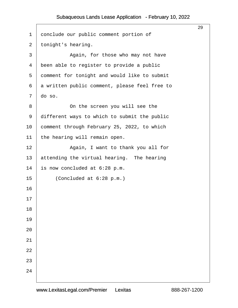|                |                                               | 29 |
|----------------|-----------------------------------------------|----|
| 1              | donclude our public comment portion of        |    |
| $\overline{2}$ | tonight's hearing.                            |    |
| 3              | Again, for those who may not have             |    |
| 4              | been able to register to provide a public     |    |
| 5              | domment for tonight and would like to submit  |    |
| 6              | a written public comment, please feel free to |    |
| $\overline{7}$ | do so.                                        |    |
| 8              | On the screen you will see the                |    |
| 9              | different ways to which to submit the public  |    |
| 10             | comment through February 25, 2022, to which   |    |
| 11             | the hearing will remain open.                 |    |
| 12             | Again, I want to thank you all for            |    |
| 13             | attending the virtual hearing. The hearing    |    |
| 14             | is now concluded at 6:28 p.m.                 |    |
| 15             | (Concluded at 6:28 p.m.)                      |    |
| 16             |                                               |    |
| 17             |                                               |    |
| 18             |                                               |    |
| 19             |                                               |    |
| 20             |                                               |    |
| 21             |                                               |    |
| 22             |                                               |    |
| 23             |                                               |    |
| 24             |                                               |    |
|                |                                               |    |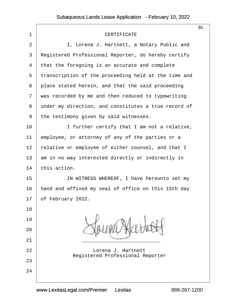|                |                                                               | 30 |
|----------------|---------------------------------------------------------------|----|
| 1              | <b>CERTIFICATE</b>                                            |    |
| $\overline{2}$ | I, Lorena J. Hartnett, a Notary Public and                    |    |
| 3              | Registered Professional Reporter, do hereby certify           |    |
| 4              | that the foregoing is an accurate and complete                |    |
| 5              | transcription of the proceeding held at the time and          |    |
| 6              | place stated herein, and that the said proceeding             |    |
| 7              | was recorded by me and then reduced to typewriting            |    |
| 8              | under my direction, and constitutes a true record of          |    |
| 9              | the testimony given by said witnesses.                        |    |
| 10             | I further certify that I am not a relative,                   |    |
| 11             | employee, or attorney of any of the parties or a              |    |
| 12             | felative or employee of either counsel, and that I            |    |
| 13             | am in no way interested directly or indirectly in             |    |
| 14             | this action.                                                  |    |
| 15             | IN WITNESS WHEREOF, I have hereunto set my                    |    |
| 16             | hand and affixed my seal of office on this 15th day           |    |
| 17             | of February 2022.                                             |    |
| 18             |                                                               |    |
| 19             |                                                               |    |
| 20             |                                                               |    |
| 21             |                                                               |    |
| 22             | Lorena J. Hartnett<br><b>Registered Professional Reporter</b> |    |
| 23             |                                                               |    |
| 24             |                                                               |    |
|                |                                                               |    |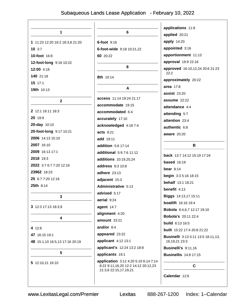| 1                               | 6                                    | applications 11:8<br>applied 20:21                     |
|---------------------------------|--------------------------------------|--------------------------------------------------------|
|                                 |                                      | apply 14:20                                            |
| 1 11:23 12:20 16:2 18:3,8 21:20 | <b>6-foot</b> 9:16                   | appointed 3:16                                         |
| 103:7                           | 6-foot-wide 9:18 10:21,22            | apportionment 11:13                                    |
| 10-foot 16:8                    | 60 20:22                             |                                                        |
| 12-foot-long 9:18 10:22         | 8                                    | approval 19:9 22:16                                    |
| 12:00 4:18                      |                                      | approved 16:10,12,24 20:6 21:23<br>22:2                |
| 140 21:18                       | 8th 10:14                            | approximately 20:22                                    |
| $15$ 17:1                       | A                                    | area 17:8                                              |
| <b>19th</b> 10:13               |                                      | <b>assist 23:20</b>                                    |
| $\mathbf{2}$                    | <b>access</b> 11:14 19:24 21:17      | assume 22:22                                           |
|                                 | accommodate 19:15                    | attendance 4:4                                         |
| 2 12:1 16:11 18:3               | accommodated 6:4                     | attending 5:7                                          |
| 20 19:9                         | accurately 17:10                     | attention 23:4                                         |
| 20-day 10:10                    | acknowledged 4:18 7:4                | authentic 6:8                                          |
| 20-foot-long 9:17 10:21         | <b>acts 8:21</b>                     | <b>aware</b> 20:20                                     |
| 2006 14:13 15:10                | add 19:11                            |                                                        |
| 2007 16:10                      | <b>addition</b> 5:6 17:14            | В                                                      |
| 2009 16:13 17:1                 | additional 5:9 7:6 11:12             | back 13:7 14:12 15:19 17:24                            |
| 2018 19:3                       | additions 10:19,20,24                |                                                        |
| 2022 3:7 6:7 7:20 12:16         | address 8:3 10:8                     | <b>based</b> 16:19                                     |
| 23962 18:23                     | <b>adhere</b> 23:13                  | bear $8:14$                                            |
| 25 6:7 7:20 12:16               | adjacent 15:3                        | begin 3:3 5:16 18:15                                   |
| <b>25th</b> $8:14$              | Administrative 5:13                  | <b>behalf</b> 13:1 18:21                               |
|                                 | advised 5:17                         | benefit 4:13                                           |
| 3                               | aerial 9:24                          | Biggs 14:13,17 15:11                                   |
| 3 12:3 17:13 18:3,9             | agent 14:7                           | <b>boatlift</b> 16:16 19:4                             |
|                                 | alignment 4:20                       | Bobola 9:4,6,7 12:17 19:10                             |
| 4                               | amount 23:21                         | <b>Bobola's 20:11 22:4</b>                             |
| 4 12:8                          | and/or $8:4$                         | <b>build</b> 6:13 16:5                                 |
| 47 16:15 19:1                   | appeared 23:22                       | <b>built</b> 15:22 17:4 20:8 21:22                     |
| 48 15:1,10 16:5,13 17:16 20:19  | applicant 4:12 13:1                  | Businelli 3:13 5:11 13:5 18:11,13,<br>16, 19, 21 23: 3 |
|                                 | applicant's 12:24 13:2 18:8          | Businelli's 9:11,16                                    |
| $5\phantom{.0}$                 | applicants 19:1                      | <b>Businellis</b> 14:8 17:15                           |
| 5 12:10,21 16:10                | application 3:12 4:20 5:10 6:14 7:14 |                                                        |
|                                 | 8:22 9:11,16,20 12:2 14:12 20:12,23  | $\mathbf c$                                            |
|                                 | 21:3,8 22:15,17,19,21                | Calendar 12:6                                          |
|                                 |                                      |                                                        |
|                                 |                                      |                                                        |

Lexitas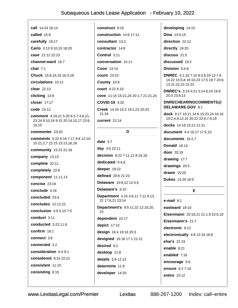call 14:24 16:14 called 15:8 carefully 19:17 Carlo 3:13 9:10.15 18:20 case 21:12 22:23 channel-ward 16:7 chat  $7:1$ Chuck 15:8,15,18 16:3,18 circulations 10:12 clear 22:13 clicking 13:9 closer 17:17 code 15:12 comment 4:19,21 5:20 6:3 7:4,8,21, 23,24 8:10,24 9:15 20:14,15,17 23:6, 10.15 commenter 23:20 comments 5:22 6:16 7:17 8:6 12:10, 15 21:2,7 22:15 23:13,16,18 community 15:23 21:18 company 13:13 complete 22:11 completely 22:8 component 11:11,13 concise 23:16 conclude 4:16 concluded 23:4 concludes 12:12.22 **conclusion** 4:9 5:15 7:5 conduct 3:11 conducted 3:23 11:8 confirm 18:1 connect 3:6 connected 3:2 consideration 6:4 9:1 considered 8:15 22:21 consistent 11:10 consisting  $6:15$ 

construct 9:16 construction 14:6 17:12 consultant 13:2 contractor 14:8 Control 3:11 conversation 15:11 Coon 14:14 **count** 23:23 County 10:9 court 4:22 6:10 cove 11:15 15:21,24 20:1,7 21:21,24 COVID-19 3:20 Creek 14:16 15:2 19:1,23 20:23  $21:16$ current 22:14

#### D

date  $3:7$ day 3:6 23:11 decision 6:22 7:11,12 8:16,18 dedicated 5:4,8 deeper 19:22 defined 20:6 21:23 Delaware 10:9.12 12:4.6 Delaware's 3:10 Department 3:10 4:6,11 7:12 8:13, 22 17:8,21 23:14 Department's 9:5 11:22 12:18,20, 23 dependent 22:17 depict 17:10 design 16:4 19:16 20:3 designed 16:18 17:1 21:21 desired 9:2 desktop 11:8 details  $5:9$  12:13 determine 11:9 developer 14:20

developing 14:15 **Dina** 13:9,15 direction 22:12 directly 19:20 discuss  $21:5$ discussed 19:2 Division 9:4.8 DNREC 5:1,18 7:15 8:3,6,19 12:7,8 14:22 15:5,8 16:10,23 17:5 19:7 20:6, 13 21:22,23 22:22 **DNREC's** 3:19 4:21 5:14 6:24 19:9 20:3 23:9.13

#### DNRECHEARINGCOMMENTS@ DELAWARE.GOV 8:1

dock 9:17 10:21 14:9 15:23,24 16:16 19:2,4,9,12,15 20:22 22:6,7,9,19

docks 14:18 15:21 21:21

document 4:4 16:17 17:5,10

documents 18:2.7

**Donald** 16:14

door 20:19

drawing  $17:7$ 

drawings 20:5

drawn 15:20

**Dukes** 14:24 16:5

#### E

 $e$ -mail 8:1 eastward 19:10 Eisenmann 20:18,21 21:1,9 22:5,10 Eisenmann's 21:7 electronic 8:12 electronically 4:8 12:19 18:8 else's 22:19 enable 8:21 enabled 7:16 encourage 5:6 ensure 6:27:16 entire 15:12

Lexitas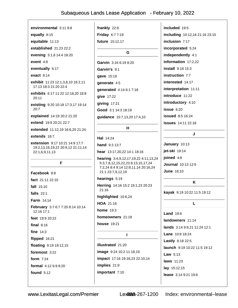environmental 3:11 9:8 equally 8:15

equitable 11:13

established 21:23 22:2

evening 3:1,8 14:4 18:20

event 4:8

eventually 6:17

**exact** 8:14

exhibit 11:23 12:1.3.8.10 16:2.11 17:13 18:3 21:20 22:4

exhibits 6:17 11:22 12:18.20 18:8  $20:11$ 

existing 9:20 10:18 17:3,17 19:14 20:7

explained 14:19 20:2 21:20

extend 19:9 20:21 22:7

extended 11:12,19 16:6,20 21:24

extends 16:7

extension 9:17 10:21 14:9 17:7 19:2,13,16,19,22 20:9,12 21:11,14 22:1,6,9,11,13

#### F

Facebook 8:8 fact 21:11 22:10 fall 15:10 falls  $22:1$ Farm 14:14 February 3:7 6:7 7:20 8:14 10:14 12:16 17:1 feet 19:9 20:22 final  $8:16$ fine  $14:3$ flipped 16:21 floating 9:19 19:12,15 foremost 3:22 form  $7:24$ formal 4:12 6:9 8:20 found  $5:12$ 

frankly 22:8 Friday 6:7 7:19

future 15:12.17

G

Garvin 3:16 6:19 8:20 Garvin's 9:1 gave 15:19 qenerate 4:5 generated 4:14 6:1 7:18 give 17:22 giving  $17:21$ Good 3:1 14:3 18:19 guidance 15:7,13,20 17:4,10

#### н

Hal 14:24

hand 9:3 13:7 hear 13:17,20,22 14:1 18:16 hearing 3:4,9,12,17,19,22 4:11,13,24

5:3,7,8,12,15,22,23 6:13,15,17,24 7:2,24 8:4 9:14 12:8,11,14 20:16,24 21:1 23:7,9,12,19

hearings 5:19 Herring 14:16 15:2 19:1,23 20:23  $21:16$ 

highlighted 10:6,24

HOA 21:16

home  $19:3$ 

homeowners 21:18

**house** 19:21

 $\blacksquare$ 

**illustrated** 21:20 image 9:24 10:2 11:18,19 impact 17:16 19:18,23 22:10,14 implies 21:9 important 7:10

included 19:5 including 10:12,16 21:16 23:15 inclusion  $7:17$ incorporated 5:24 independently 4:1 information 17:2,22 **install** 9:18 15:3 instruction 7:7 interested 14:17 interpretation 11:11 introduce 11:22 introductory 4:10  $i$ ssue  $6:20$ **issued** 8:5 16:24 **issues** 14:11 22:18

#### January 10:13 jet-ski 19:14 joined 4:8 **Journal** 10:13 12:5 **June 16:10**

#### K

J

kayak 9:19 10:22 11:5 19:12

L. **Land 19:6** landowners 11:14 lands 3:14 9:9,21 11:24 12:1 Lane 10:8 18:24 **Lastly**  $8:182:2:5$ launch 9:19 10:22 11:5 19:12 Law  $5:13$ **laws** 11:23 lay 15:12,15 lease 3:14 9:21 19:6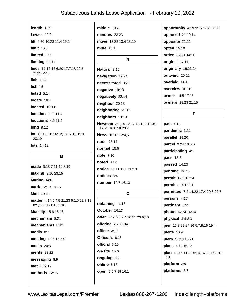| length 16:9                                    | middle 10:2                       | opportunity 4:19 9:15 17:21 23:6    |
|------------------------------------------------|-----------------------------------|-------------------------------------|
| <b>Lewes</b> 10:9                              | $minutes$ $23:23$                 | opposed 21:10,14                    |
| lift 9:20 10:23 11:4 19:14                     | move 12:23 13:4 18:10             | opposite 22:11                      |
| $limit$ 16:8                                   | <b>mute</b> 18:1                  | <b>opted</b> 19:19                  |
| limited $5:21$                                 |                                   | order 6:2,21 14:10                  |
| limiting 23:17                                 | N                                 | original 17:11                      |
| lines 11:12 16:6,20 17:7,18 20:5<br>21:24 22:3 | Natural 3:10                      | originally 16:23,24                 |
|                                                | navigation 19:24                  | outward 20:22                       |
| link $7:24$<br>list $4:5$                      | necessitated 3:20                 | overlaid 11:1                       |
| listed $5:14$                                  | negative 19:18                    | overview 10:16                      |
| locate 16:4                                    | negatively 22:14                  | <b>owner</b> 14:5 17:16             |
|                                                | neighbor 20:18                    | owners 18:23 21:15                  |
| located $10:1,8$<br>location 9:23 11:4         | neighboring 21:15                 | P                                   |
| locations $4:2$ 11:2                           | neighbors 19:19                   |                                     |
| <b>long 8:12</b>                               | Newman 3:1,15 12:17 13:18,21 14:1 | p.m. 4:18                           |
| lot 15:1,3,10 16:12,15 17:16 19:1              | 17:23 18:6,18 23:2                | pandemic 3:21                       |
| 20:19                                          | News 10:13 12:4,5                 | parallel 19:20                      |
| <b>lots</b> 14:19                              | noon 23:11                        | parcel 9:24 10:5,6                  |
|                                                | normal 15:5                       | participating 4:1                   |
| Μ                                              | <b>note</b> 7:10                  | pass 13:8                           |
| made 3:18 7:11,12 8:19                         | <b>noted</b> 8:12                 | passed 14:23                        |
| making 8:16 23:15                              | notice 10:11 12:3 20:13           | pending 22:15                       |
| Marine 14:6                                    | notices 8:4                       | permit 12:2 16:24                   |
| mark 12:19 18:3,7                              | number 10:7 16:13                 | permits 14:18,21                    |
| Matt 20:18                                     | <sup>o</sup>                      | permitted 7:2 14:22 17:4 20:8 22:7  |
| matter 4:14 5:4,9,21,23 6:1,5,22 7:18          |                                   | persons 4:17                        |
| 8:5,17,19 21:4 23:18                           | obtaining 14:18                   | pertinent 5:22                      |
| <b>Mcnally</b> 15:8 16:18                      | October 16:13                     | phone 14:24 16:14                   |
| mechanism 8:21                                 | offer 4:19 6:3 7:4,16,21 23:6,10  | physical 4:4 8:3                    |
| mechanisms 8:12                                | offering 7:7 23:14                | pier 15:3,22,24 16:5,7,9,16 19:4    |
| media $8:7$                                    | officer 3:17                      | pier's 16:9                         |
| meeting 12:6 15:6,9                            | Officer's 6:18                    | piers 14:18 15:21                   |
| meets $20:3$                                   | official 6:10                     | place 5:18 16:22                    |
| <b>merits</b> 22:22                            | on-site 15:6                      | plan 10:16 11:2 15:14,16,19 16:3,12 |
|                                                | ongoing 3:20                      | 19                                  |
| messaging 8:9                                  |                                   |                                     |
| met 15:9,19                                    | online 5:13<br>open 6:57:19 16:1  | platform 3:9<br>platforms 8:7       |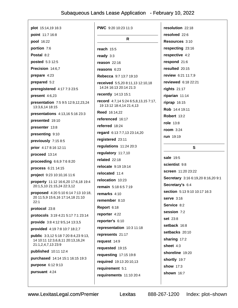| <b>plot</b> 15:14,19 16:3                                                       | <b>PWC</b> 9:20 10:23 11:3                                              | resolution 22:18                   |
|---------------------------------------------------------------------------------|-------------------------------------------------------------------------|------------------------------------|
| point 11:7 16:8                                                                 |                                                                         | resolved 22:6                      |
| pool 16:22                                                                      | R                                                                       | Resources 3:10                     |
| portion 7:6                                                                     | reach $15:5$                                                            | respecting 23:16                   |
| Postal 8:2                                                                      | ready $3:3$                                                             | respective 4:2                     |
| posted 5:3 12:5                                                                 | reason $22:16$                                                          | respond 21:6                       |
| Precision 14:6,7                                                                | reasons 6:23                                                            | resulted 20:15                     |
| prepare 4:23                                                                    | Rebecca 9:7 13:7 19:10                                                  | review 6:21 11:7,9                 |
| prepared 5:2                                                                    | received 5:5,20 8:11,13 12:10,18                                        | reviewed 6:18 22:21                |
| preregistered 4:17 7:3 23:5                                                     | 14:24 16:13 20:14 21:3                                                  | rights $21:17$                     |
| present $4:6,23$                                                                | recently 14:13 15:1                                                     | riparian $11:14$                   |
| presentation 7:5 9:5 12:9,12,23,24                                              | <b>record</b> 4:7,14 5:24 6:5,8,13,15 7:17,<br>19 13:12 18:4,14 21:4,13 | $riprap$ 16:15                     |
| 13:3,6,14 18:15                                                                 | <b>Reed 16:14,22</b>                                                    | Rob 14:4 19:11                     |
| presentations 4:13,16 5:16 23:3                                                 | referenced 16:17                                                        | <b>Robert 13:2</b>                 |
| presented 19:10                                                                 | referred 18:24                                                          | role $13:8$                        |
| presenter 13:8                                                                  | regard 6:13 7:7,13 23:14,20                                             | room $3:24$                        |
| presenting 9:10                                                                 | registered 23:11                                                        | $run$ 19:19                        |
| previously 7:15 8:5                                                             | regulations 11:24 20:3                                                  |                                    |
| prior 4:17 8:16 12:11                                                           | regulatory 11:7,10                                                      | S                                  |
| proceed 13:14                                                                   | related 22:18                                                           | sale 19:5                          |
| proceeding 6:6,9 7:6 8:20                                                       | relocate 9:19 19:14                                                     | scientist 9:8                      |
| process 6:21 14:15                                                              | relocated 11:4                                                          | screen 11:20 23:22                 |
| project 9:23 10:10,16 11:6                                                      | relocation 10:23                                                        | Secretary 3:16 6:19,20 8:16,20 9:1 |
| property 11:12 16:6,20 17:6,18 19:4<br>20:1,5,10 21:15,24 22:3,12               | <b>remain</b> 5:18 6:5 7:19                                             | Secretary's 6:4                    |
| proposed 4:20 5:10 6:14 7:13 10:18,                                             | remarks 4:10                                                            | section 5:13 9:10 10:17 16:3       |
| 20 11:5,9 15:6,16 17:14,18 21:10                                                | remember 8:10                                                           | <b>serve</b> 3:16                  |
| 22:1                                                                            | Report 6:18                                                             | Service 8:2                        |
| protocol 23:8                                                                   | reporter 4:22                                                           | session 7:2                        |
| protocols 3:19 4:21 5:17 7:1 23:14                                              | reporter's 6:10                                                         | <b>set 23:8</b>                    |
| provide 3:8 4:12 9:5,14 13:3,5                                                  | representation 10:3 11:18                                               | setback 16:8                       |
| provided 4:19 7:8 10:7 18:2,7                                                   | represents 21:17                                                        | setbacks 20:10                     |
| <b>public</b> 3:3,12 5:18 7:20 8:4,23 9:13,<br>14 10:11 12:3,6,8,11 20:13,16,24 | request $14:9$                                                          | sharing 17:2                       |
| 21:1,2,4,7,13 23:9                                                              | requested 19:15                                                         | sheet 4:3                          |
| published 10:11 12:4                                                            | requesting 17:15 19:8                                                   | shoreline 19:20                    |
| purchased 14:14 15:1 16:15 19:3                                                 | required 19:13 20:10,13                                                 | shortly 19:7                       |
| purpose 6:12 9:13                                                               | requirement 5:1                                                         | show 17:3                          |
| pursuant 4:24                                                                   | requirements 11:10 20:4                                                 | shown 16:7                         |
|                                                                                 |                                                                         |                                    |
|                                                                                 |                                                                         |                                    |

 $\sqrt{ }$ 

Lexitas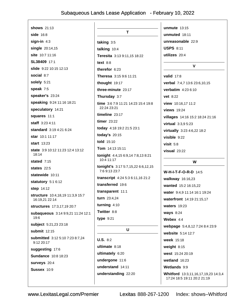| <b>shows</b> 21:13                            |                                                 | unmute $13:15$                  |
|-----------------------------------------------|-------------------------------------------------|---------------------------------|
| side $16:8$                                   | T                                               | unmuted 18:11                   |
| sign-in $4:3$                                 | taking 3:5                                      | unreasonable 22:9               |
| single 20:14,15                               | talking 10:4                                    | <b>USPS 8:11</b>                |
| site 10:7 11:16                               | Teresita 3:13 9:11,15 18:22                     | utilizes 20:4                   |
| SL38409 17:1                                  | text $8:8$                                      |                                 |
| slide 9:22 10:15 12:13                        | therefor $6:23$                                 | $\mathbf v$                     |
| social 8:7                                    | Theresa 3:15 9:6 11:21                          | <b>valid</b> 17:8               |
| solely 5:21                                   | thought 19:17                                   | verbal 7:4,7 13:6 23:6,10,15    |
| speak 7:5                                     | three-minute 23:17                              | verbatim 4:23 6:10              |
| speaker's 23:24                               | Thursday 3:7                                    | vet 8:22                        |
| speaking 9:24 11:16 18:21                     | time 3:6 7:9 11:21 14:23 15:4 19:8              | view 10:16,17 11:2              |
| speculatory 14:21                             | 22:24 23:21                                     | <b>views</b> 19:24              |
| squares 11:1                                  | timeline $23:17$                                | villages 14:16 15:2 18:24 21:16 |
| staff 3:23 4:11                               | timer 23:22                                     | virtual 3:3,9 5:23              |
| standard 3:19 4:21 6:24                       | today 4:18 19:2 21:5 23:1                       | virtually 3:23 4:6,22 18:2      |
| star 10:1 11:17                               | today's 20:15                                   | visible $9:22$                  |
| <b>start</b> 13:23                            | told 15:10                                      | visit $5:8$                     |
| state 3:9 10:12 11:23 12:4 13:12              | Tom 14:13 15:11                                 | <b>visual</b> 23:22             |
| 18:14<br>stated $7:15$                        | tonight 4:4,15 6:9,14 7:8,13 8:21<br>10:4 11:17 | W                               |
| states $22:5$                                 | tonight's 3:17 5:7,15,22 6:6,12,15              |                                 |
| statewide 10:11                               | 7:6 9:13 23:7                                   | <b>W-H-I-T-F-O-R-D 14:5</b>     |
| statutory 5:1 6:12                            | transcript 4:24 5:3 6:11,16 21:2                | walkway 16:16,23                |
| step 14:12                                    | transferred 19:6                                | wanted 15:2 16:15,22            |
| <b>structure</b> 10:4,18,19 11:3,9 15:7       | transparent 11:1                                | water 9:4,9 11:14 16:1 19:24    |
| 16:19,21 22:14                                | <b>turn</b> $23:4,24$                           | waterfront 14:19 21:15,17       |
| structures 17:3,17,19 20:7                    | turning $4:10$                                  | <b>waters</b> 19:23             |
| subaqueous 3:14 9:9,21 11:24 12:1             | Twitter 8:8                                     | <b>ways 8:24</b>                |
| 19:6                                          | type $9:21$                                     | Webex $4:4$                     |
| subject 5:21,23 23:18                         | U                                               | webpage 5:4,8,12 7:24 8:4 23:9  |
| submit 12:15                                  |                                                 | website 5:14 12:7               |
| submitted 3:12 5:10 7:23 8:7,24<br>9:12 20:17 | $U.S. 8:2$                                      | week 15:18                      |
| suggesting 17:6                               | ultimate 8:18                                   | weight $8:15$                   |
| <b>Sundance</b> 10:8 18:23                    | ultimately 6:20                                 | west 15:24 20:19                |
| <b>surveys</b> 20:4                           | undergone 11:6                                  | wetland 16:23                   |
|                                               |                                                 |                                 |
| <b>Sussex 10:9</b>                            | understand 14:11                                | Wetlands 9:9                    |